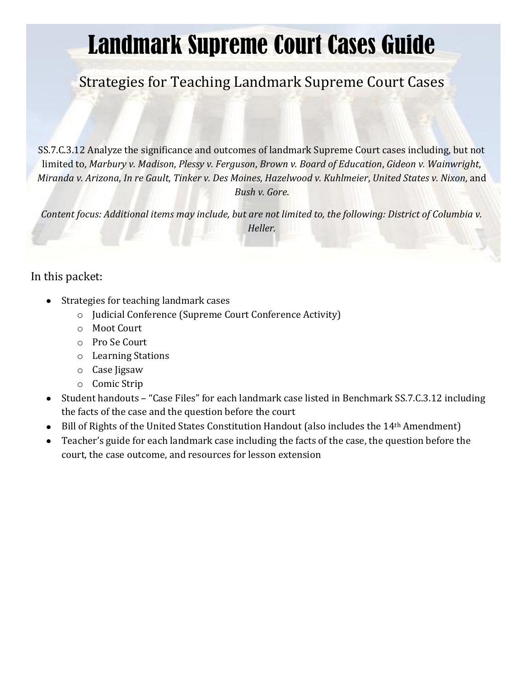# Landmark Supreme Court Cases Guide

# Strategies for Teaching Landmark Supreme Court Cases

SS.7.C.3.12 Analyze the significance and outcomes of landmark Supreme Court cases including, but not limited to, *Marbury v. Madison*, *Plessy v. Ferguson*, *Brown v. Board of Education*, *Gideon v. Wainwright*, *Miranda v. Arizona*, *In re Gault*, *Tinker v. Des Moines*, *Hazelwood v. Kuhlmeier*, *United States v. Nixon*, and *Bush v. Gore*.

*Content focus: Additional items may include, but are not limited to, the following: District of Columbia v. Heller.* 

# In this packet:

- Strategies for teaching landmark cases
	- o Judicial Conference (Supreme Court Conference Activity)
	- o Moot Court
	- o Pro Se Court
	- o Learning Stations
	- o Case Jigsaw
	- o Comic Strip
- Student handouts "Case Files" for each landmark case listed in Benchmark SS.7.C.3.12 including the facts of the case and the question before the court
- Bill of Rights of the United States Constitution Handout (also includes the 14<sup>th</sup> Amendment)
- Teacher's guide for each landmark case including the facts of the case, the question before the  $\bullet$ court, the case outcome, and resources for lesson extension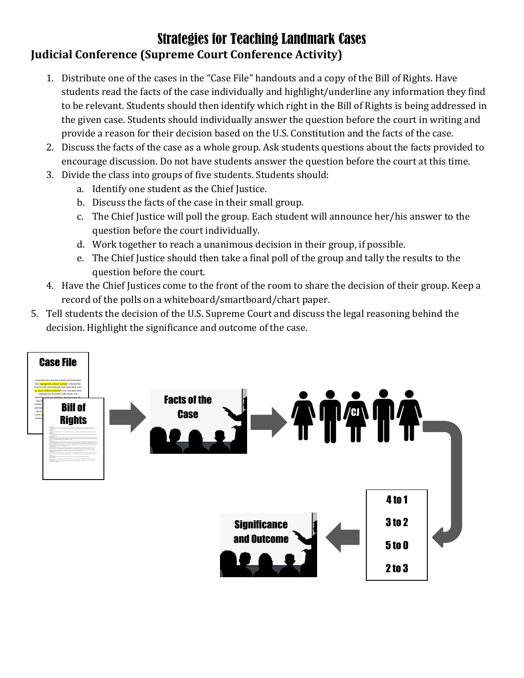# Strategies for Teaching Landmark Cases **Judicial Conference (Supreme Court Conference Activity)**

- 1. Distribute one of the cases in the "Case File" handouts and a copy of the Bill of Rights. Have students read the facts of the case individually and highlight/underline any information they find to be relevant. Students should then identify which right in the Bill of Rights is being addressed in the given case. Students should individually answer the question before the court in writing and provide a reason for their decision based on the U.S. Constitution and the facts of the case.
- 2. Discuss the facts of the case as a whole group. Ask students questions about the facts provided to encourage discussion. Do not have students answer the question before the court at this time.
- 3. Divide the class into groups of five students. Students should:
	- a. Identify one student as the Chief Justice.
	- b. Discuss the facts of the case in their small group.
	- c. The Chief Justice will poll the group. Each student will announce her/his answer to the question before the court individually.
	- d. Work together to reach a unanimous decision in their group, if possible.
	- e. The Chief Justice should then take a final poll of the group and tally the results to the question before the court.
- 4. Have the Chief Justices come to the front of the room to share the decision of their group. Keep a record of the polls on a whiteboard/smartboard/chart paper.
- 5. Tell students the decision of the U.S. Supreme Court and discuss the legal reasoning behind the decision. Highlight the significance and outcome of the case.

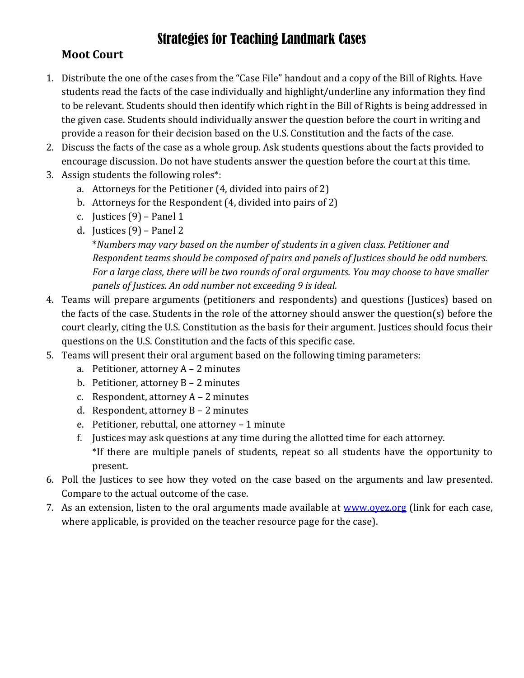# **Moot Court**

- 1. Distribute the one of the cases from the "Case File" handout and a copy of the Bill of Rights. Have students read the facts of the case individually and highlight/underline any information they find to be relevant. Students should then identify which right in the Bill of Rights is being addressed in the given case. Students should individually answer the question before the court in writing and provide a reason for their decision based on the U.S. Constitution and the facts of the case.
- 2. Discuss the facts of the case as a whole group. Ask students questions about the facts provided to encourage discussion. Do not have students answer the question before the court at this time.
- 3. Assign students the following roles\*:
	- a. Attorneys for the Petitioner (4, divided into pairs of 2)
	- b. Attorneys for the Respondent (4, divided into pairs of 2)
	- c. Justices (9) Panel 1
	- d. Justices (9) Panel 2

\**Numbers may vary based on the number of students in a given class. Petitioner and Respondent teams should be composed of pairs and panels of Justices should be odd numbers. For a large class, there will be two rounds of oral arguments. You may choose to have smaller panels of Justices. An odd number not exceeding 9 is ideal.*

- 4. Teams will prepare arguments (petitioners and respondents) and questions (Justices) based on the facts of the case. Students in the role of the attorney should answer the question(s) before the court clearly, citing the U.S. Constitution as the basis for their argument. Justices should focus their questions on the U.S. Constitution and the facts of this specific case.
- 5. Teams will present their oral argument based on the following timing parameters:
	- a. Petitioner, attorney  $A 2$  minutes
	- b. Petitioner, attorney B 2 minutes
	- c. Respondent, attorney  $A 2$  minutes
	- d. Respondent, attorney B 2 minutes
	- e. Petitioner, rebuttal, one attorney 1 minute
	- f. Justices may ask questions at any time during the allotted time for each attorney. \*If there are multiple panels of students, repeat so all students have the opportunity to present.
- 6. Poll the Justices to see how they voted on the case based on the arguments and law presented. Compare to the actual outcome of the case.
- 7. As an extension, listen to the oral arguments made available at www.ovez.org (link for each case, where applicable, is provided on the teacher resource page for the case).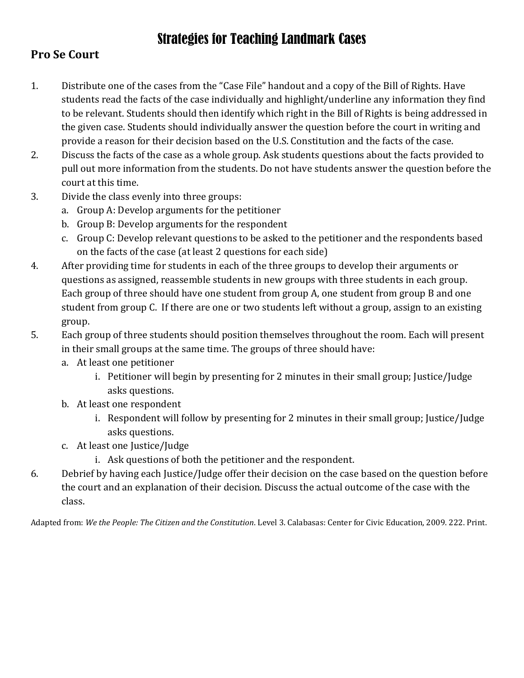# **Pro Se Court**

- 1. Distribute one of the cases from the "Case File" handout and a copy of the Bill of Rights. Have students read the facts of the case individually and highlight/underline any information they find to be relevant. Students should then identify which right in the Bill of Rights is being addressed in the given case. Students should individually answer the question before the court in writing and provide a reason for their decision based on the U.S. Constitution and the facts of the case.
- 2. Discuss the facts of the case as a whole group. Ask students questions about the facts provided to pull out more information from the students. Do not have students answer the question before the court at this time.
- 3. Divide the class evenly into three groups:
	- a. Group A: Develop arguments for the petitioner
	- b. Group B: Develop arguments for the respondent
	- c. Group C: Develop relevant questions to be asked to the petitioner and the respondents based on the facts of the case (at least 2 questions for each side)
- 4. After providing time for students in each of the three groups to develop their arguments or questions as assigned, reassemble students in new groups with three students in each group. Each group of three should have one student from group A, one student from group B and one student from group C. If there are one or two students left without a group, assign to an existing group.
- 5. Each group of three students should position themselves throughout the room. Each will present in their small groups at the same time. The groups of three should have:
	- a. At least one petitioner
		- i. Petitioner will begin by presenting for 2 minutes in their small group; Justice/Judge asks questions.
	- b. At least one respondent
		- i. Respondent will follow by presenting for 2 minutes in their small group; Justice/Judge asks questions.
	- c. At least one Justice/Judge
		- i. Ask questions of both the petitioner and the respondent.
- 6. Debrief by having each Justice/Judge offer their decision on the case based on the question before the court and an explanation of their decision. Discuss the actual outcome of the case with the class.

Adapted from: *We the People: The Citizen and the Constitution*. Level 3. Calabasas: Center for Civic Education, 2009. 222. Print.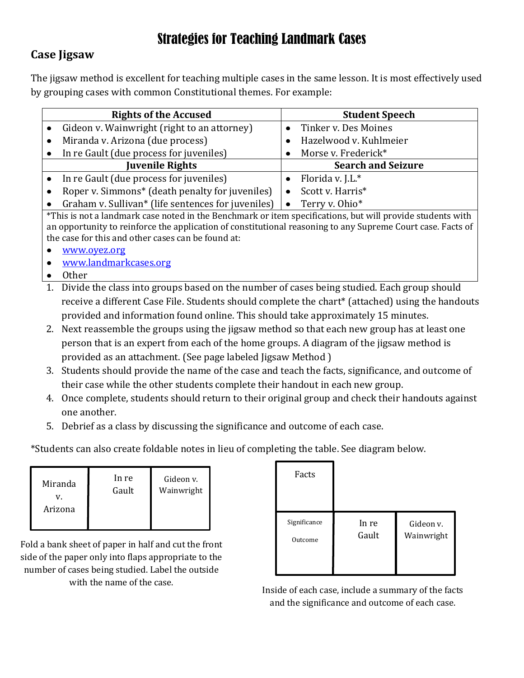# **Case Jigsaw**

The jigsaw method is excellent for teaching multiple cases in the same lesson. It is most effectively used by grouping cases with common Constitutional themes. For example:

|           | <b>Rights of the Accused</b>                       | <b>Student Speech</b>       |  |  |
|-----------|----------------------------------------------------|-----------------------------|--|--|
|           | Gideon v. Wainwright (right to an attorney)        | Tinker v. Des Moines        |  |  |
| $\bullet$ | Miranda v. Arizona (due process)                   | Hazelwood v. Kuhlmeier      |  |  |
| $\bullet$ | In re Gault (due process for juveniles)            | Morse v. Frederick*         |  |  |
|           | <b>Juvenile Rights</b>                             | <b>Search and Seizure</b>   |  |  |
|           | In re Gault (due process for juveniles)            | Florida v. J.L.*            |  |  |
| $\bullet$ | Roper v. Simmons* (death penalty for juveniles)    | Scott v. Harris*            |  |  |
| $\bullet$ | Graham v. Sullivan* (life sentences for juveniles) | Terry v. Ohio*<br>$\bullet$ |  |  |

\*This is not a landmark case noted in the Benchmark or item specifications, but will provide students with an opportunity to reinforce the application of constitutional reasoning to any Supreme Court case. Facts of the case for this and other cases can be found at:

- [www.oyez.org](http://www.oyez.org/)  $\bullet$
- [www.landmarkcases.org](http://www.landmarkcases.org/)
- Other
- 1. Divide the class into groups based on the number of cases being studied. Each group should receive a different Case File. Students should complete the chart\* (attached) using the handouts provided and information found online. This should take approximately 15 minutes.
- 2. Next reassemble the groups using the jigsaw method so that each new group has at least one person that is an expert from each of the home groups. A diagram of the jigsaw method is provided as an attachment. (See page labeled Jigsaw Method )
- 3. Students should provide the name of the case and teach the facts, significance, and outcome of their case while the other students complete their handout in each new group.
- 4. Once complete, students should return to their original group and check their handouts against one another.
- 5. Debrief as a class by discussing the significance and outcome of each case.

\*Students can also create foldable notes in lieu of completing the table. See diagram below.

| Miranda | In re | Gideon v.  |
|---------|-------|------------|
| Arizona | Gault | Wainwright |

Fold a bank sheet of paper in half and cut the front side of the paper only into flaps appropriate to the number of cases being studied. Label the outside with the name of the case.

| Facts        |       |            |
|--------------|-------|------------|
| Significance | In re | Gideon v.  |
| Outcome      | Gault | Wainwright |

Inside of each case, include a summary of the facts and the significance and outcome of each case.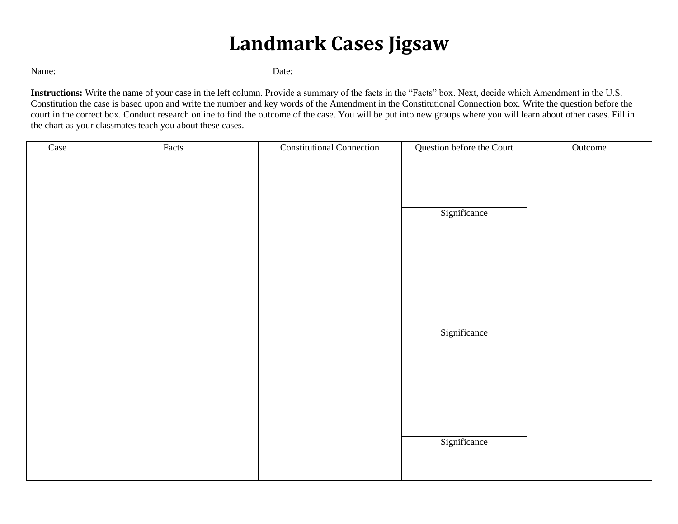# **Landmark Cases Jigsaw**

Name: \_\_\_\_\_\_\_\_\_\_\_\_\_\_\_\_\_\_\_\_\_\_\_\_\_\_\_\_\_\_\_\_\_\_\_\_\_\_\_\_\_\_\_\_\_ Date:\_\_\_\_\_\_\_\_\_\_\_\_\_\_\_\_\_\_\_\_\_\_\_\_\_\_\_\_

**Instructions:** Write the name of your case in the left column. Provide a summary of the facts in the "Facts" box. Next, decide which Amendment in the U.S. Constitution the case is based upon and write the number and key words of the Amendment in the Constitutional Connection box. Write the question before the court in the correct box. Conduct research online to find the outcome of the case. You will be put into new groups where you will learn about other cases. Fill in the chart as your classmates teach you about these cases.

| Case | Facts | <b>Constitutional Connection</b> | Question before the Court | Outcome |
|------|-------|----------------------------------|---------------------------|---------|
|      |       |                                  | Significance              |         |
|      |       |                                  | Significance              |         |
|      |       |                                  | Significance              |         |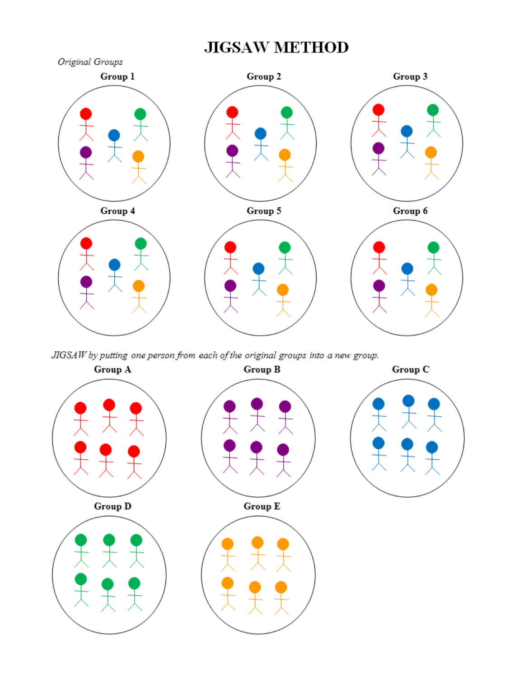# **JIGSAW METHOD**



JIGSAW by putting one person from each of the original groups into a new group.

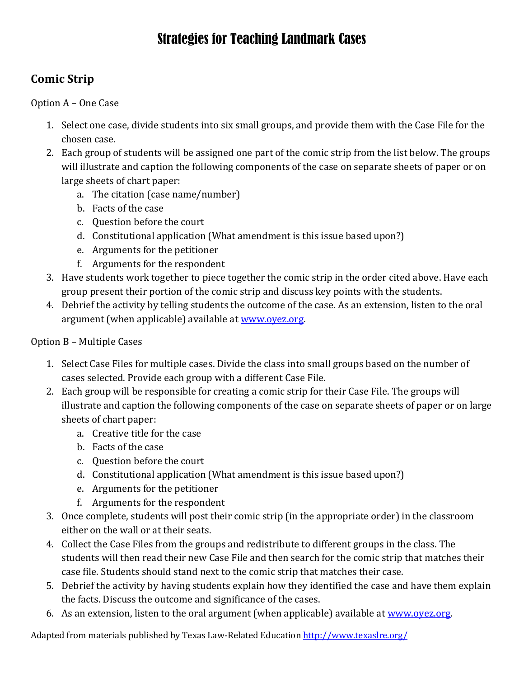# **Comic Strip**

Option A – One Case

- 1. Select one case, divide students into six small groups, and provide them with the Case File for the chosen case.
- 2. Each group of students will be assigned one part of the comic strip from the list below. The groups will illustrate and caption the following components of the case on separate sheets of paper or on large sheets of chart paper:
	- a. The citation (case name/number)
	- b. Facts of the case
	- c. Question before the court
	- d. Constitutional application (What amendment is this issue based upon?)
	- e. Arguments for the petitioner
	- f. Arguments for the respondent
- 3. Have students work together to piece together the comic strip in the order cited above. Have each group present their portion of the comic strip and discuss key points with the students.
- 4. Debrief the activity by telling students the outcome of the case. As an extension, listen to the oral argument (when applicable) available at [www.oyez.org.](http://www.oyez.org/)

# Option B – Multiple Cases

- 1. Select Case Files for multiple cases. Divide the class into small groups based on the number of cases selected. Provide each group with a different Case File.
- 2. Each group will be responsible for creating a comic strip for their Case File. The groups will illustrate and caption the following components of the case on separate sheets of paper or on large sheets of chart paper:
	- a. Creative title for the case
	- b. Facts of the case
	- c. Question before the court
	- d. Constitutional application (What amendment is this issue based upon?)
	- e. Arguments for the petitioner
	- f. Arguments for the respondent
- 3. Once complete, students will post their comic strip (in the appropriate order) in the classroom either on the wall or at their seats.
- 4. Collect the Case Files from the groups and redistribute to different groups in the class. The students will then read their new Case File and then search for the comic strip that matches their case file. Students should stand next to the comic strip that matches their case.
- 5. Debrief the activity by having students explain how they identified the case and have them explain the facts. Discuss the outcome and significance of the cases.
- 6. As an extension, listen to the oral argument (when applicable) available at [www.oyez.org.](http://www.oyez.org/)

Adapted from materials published by Texas Law-Related Educatio[n http://www.texaslre.org/](http://www.texaslre.org/)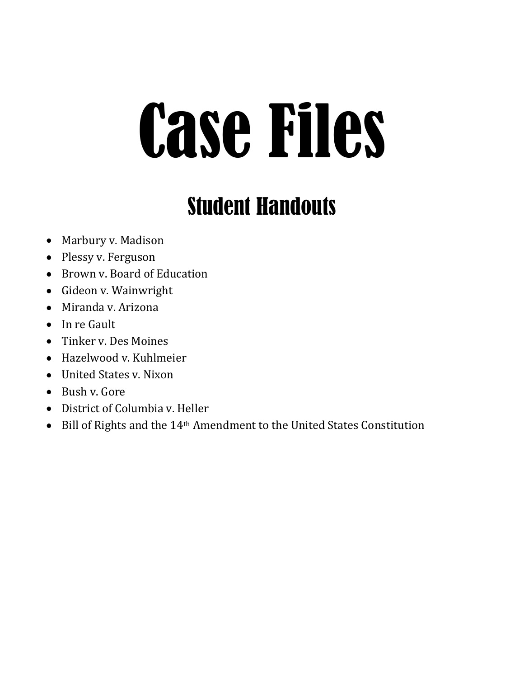# Case Files

# Student Handouts

- Marbury v. Madison
- Plessy v. Ferguson
- Brown v. Board of Education
- Gideon v. Wainwright
- Miranda v. Arizona
- In re Gault
- Tinker v. Des Moines
- Hazelwood v. Kuhlmeier
- United States v. Nixon
- Bush v. Gore
- District of Columbia v. Heller
- Bill of Rights and the 14<sup>th</sup> Amendment to the United States Constitution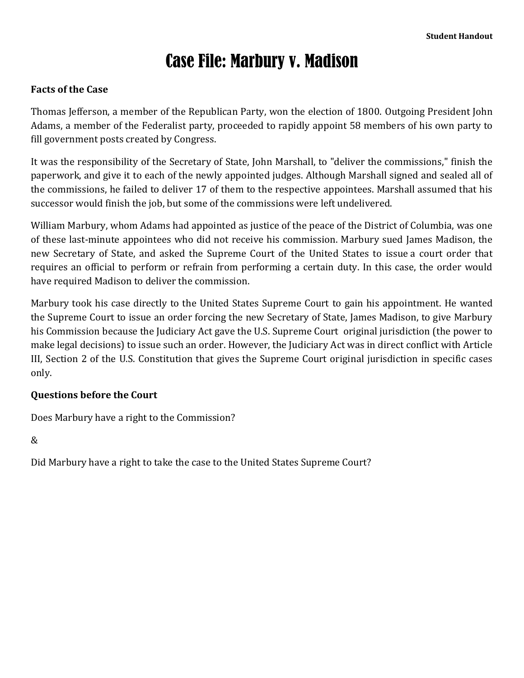# Case File: Marbury v. Madison

# **Facts of the Case**

Thomas Jefferson, a member of the Republican Party, won the election of 1800. Outgoing President John Adams, a member of the Federalist party, proceeded to rapidly appoint 58 members of his own party to fill government posts created by Congress.

It was the responsibility of the Secretary of State, John Marshall, to "deliver the commissions," finish the paperwork, and give it to each of the newly appointed judges. Although Marshall signed and sealed all of the commissions, he failed to deliver 17 of them to the respective appointees. Marshall assumed that his successor would finish the job, but some of the commissions were left undelivered.

William Marbury, whom Adams had appointed as justice of the peace of the District of Columbia, was one of these last-minute appointees who did not receive his commission. Marbury sued James Madison, the new Secretary of State, and asked the Supreme Court of the United States to issue a court order that requires an official to perform or refrain from performing a certain duty. In this case, the order would have required Madison to deliver the commission.

Marbury took his case directly to the United States Supreme Court to gain his appointment. He wanted the Supreme Court to issue an order forcing the new Secretary of State, James Madison, to give Marbury his Commission because the Judiciary Act gave the U.S. Supreme Court original jurisdiction (the power to make legal decisions) to issue such an order. However, the Judiciary Act was in direct conflict with Article III, Section 2 of the U.S. Constitution that gives the Supreme Court original jurisdiction in specific cases only.

# **Questions before the Court**

Does Marbury have a right to the Commission?

&

Did Marbury have a right to take the case to the United States Supreme Court?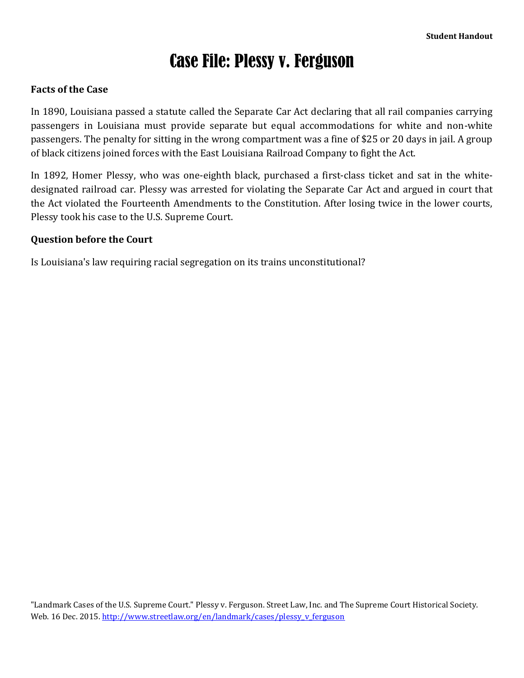# Case File: Plessy v. Ferguson

# **Facts of the Case**

In 1890, Louisiana passed a statute called the Separate Car Act declaring that all rail companies carrying passengers in Louisiana must provide separate but equal accommodations for white and non-white passengers. The penalty for sitting in the wrong compartment was a fine of \$25 or 20 days in jail. A group of black citizens joined forces with the East Louisiana Railroad Company to fight the Act.

In 1892, Homer Plessy, who was one-eighth black, purchased a first-class ticket and sat in the whitedesignated railroad car. Plessy was arrested for violating the Separate Car Act and argued in court that the Act violated the Fourteenth Amendments to the Constitution. After losing twice in the lower courts, Plessy took his case to the U.S. Supreme Court.

### **Question before the Court**

Is Louisiana's law requiring racial segregation on its trains unconstitutional?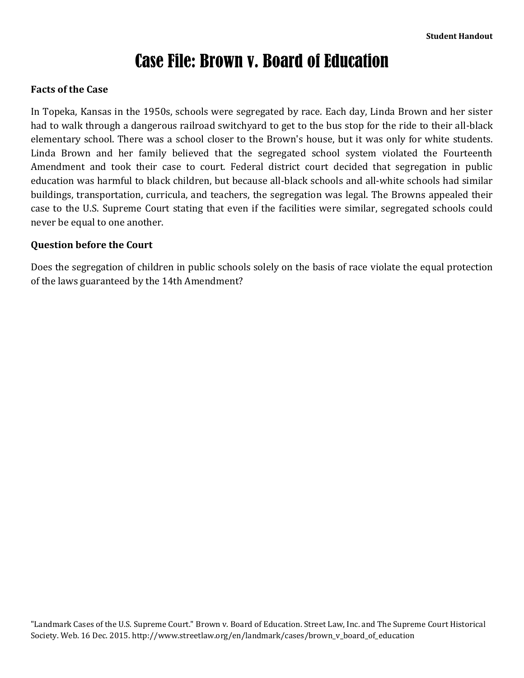# Case File: Brown v. Board of Education

# **Facts of the Case**

In Topeka, Kansas in the 1950s, schools were segregated by race. Each day, Linda Brown and her sister had to walk through a dangerous railroad switchyard to get to the bus stop for the ride to their all-black elementary school. There was a school closer to the Brown's house, but it was only for white students. Linda Brown and her family believed that the segregated school system violated the Fourteenth Amendment and took their case to court. Federal district court decided that segregation in public education was harmful to black children, but because all-black schools and all-white schools had similar buildings, transportation, curricula, and teachers, the segregation was legal. The Browns appealed their case to the U.S. Supreme Court stating that even if the facilities were similar, segregated schools could never be equal to one another.

# **Question before the Court**

Does the segregation of children in public schools solely on the basis of race violate the equal protection of the laws guaranteed by the 14th Amendment?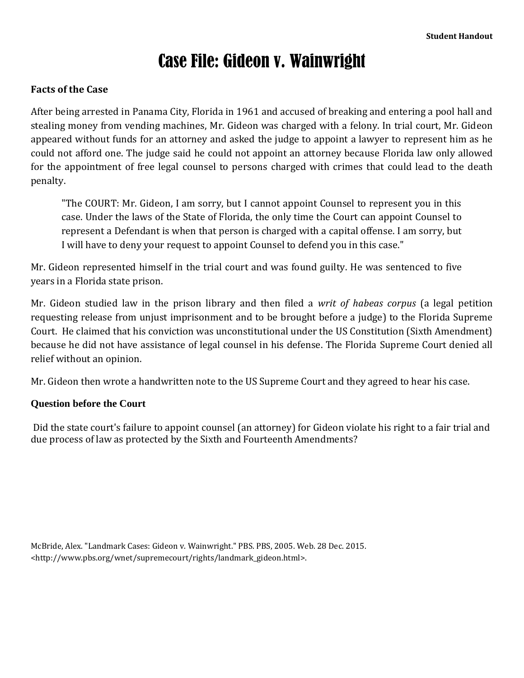# Case File: Gideon v. Wainwright

# **Facts of the Case**

After being arrested in Panama City, Florida in 1961 and accused of breaking and entering a pool hall and stealing money from vending machines, Mr. Gideon was charged with a felony. In trial court, Mr. Gideon appeared without funds for an attorney and asked the judge to appoint a lawyer to represent him as he could not afford one. The judge said he could not appoint an attorney because Florida law only allowed for the appointment of free legal counsel to persons charged with crimes that could lead to the death penalty.

"The COURT: Mr. Gideon, I am sorry, but I cannot appoint Counsel to represent you in this case. Under the laws of the State of Florida, the only time the Court can appoint Counsel to represent a Defendant is when that person is charged with a capital offense. I am sorry, but I will have to deny your request to appoint Counsel to defend you in this case."

Mr. Gideon represented himself in the trial court and was found guilty. He was sentenced to five years in a Florida state prison.

Mr. Gideon studied law in the prison library and then filed a *writ of habeas corpus* (a legal petition requesting release from unjust imprisonment and to be brought before a judge) to the Florida Supreme Court. He claimed that his conviction was unconstitutional under the US Constitution (Sixth Amendment) because he did not have assistance of legal counsel in his defense. The Florida Supreme Court denied all relief without an opinion.

Mr. Gideon then wrote a handwritten note to the US Supreme Court and they agreed to hear his case.

# **Question before the Court**

Did the state court's failure to appoint counsel (an attorney) for Gideon violate his right to a fair trial and due process of law as protected by the Sixth and Fourteenth Amendments?

McBride, Alex. "Landmark Cases: Gideon v. Wainwright." PBS. PBS, 2005. Web. 28 Dec. 2015. <http://www.pbs.org/wnet/supremecourt/rights/landmark\_gideon.html>.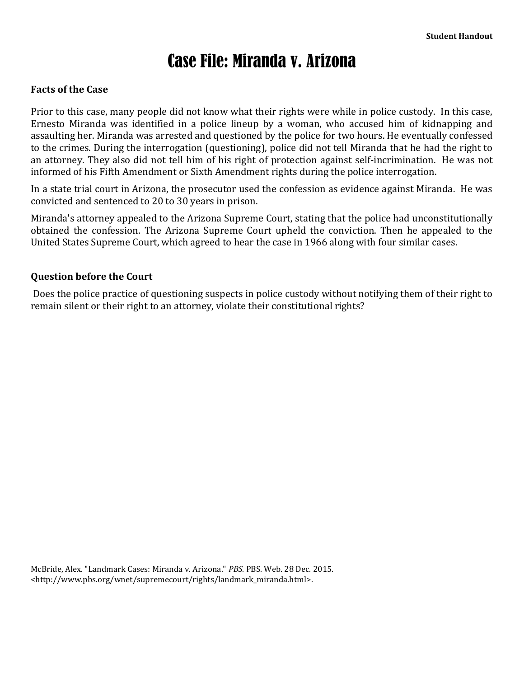# Case File: Miranda v. Arizona

### **Facts of the Case**

Prior to this case, many people did not know what their rights were while in police custody. In this case, Ernesto Miranda was identified in a police lineup by a woman, who accused him of kidnapping and assaulting her. Miranda was arrested and questioned by the police for two hours. He eventually confessed to the crimes. During the interrogation (questioning), police did not tell Miranda that he had the right to an attorney. They also did not tell him of his right of protection against self-incrimination. He was not informed of his Fifth Amendment or Sixth Amendment rights during the police interrogation.

In a state trial court in Arizona, the prosecutor used the confession as evidence against Miranda. He was convicted and sentenced to 20 to 30 years in prison.

Miranda's attorney appealed to the Arizona Supreme Court, stating that the police had unconstitutionally obtained the confession. The Arizona Supreme Court upheld the conviction. Then he appealed to the United States Supreme Court, which agreed to hear the case in 1966 along with four similar cases.

### **Question before the Court**

Does the police practice of questioning suspects in police custody without notifying them of their right to remain silent or their right to an attorney, violate their constitutional rights?

McBride, Alex. "Landmark Cases: Miranda v. Arizona." *PBS*. PBS. Web. 28 Dec. 2015. <http://www.pbs.org/wnet/supremecourt/rights/landmark\_miranda.html>.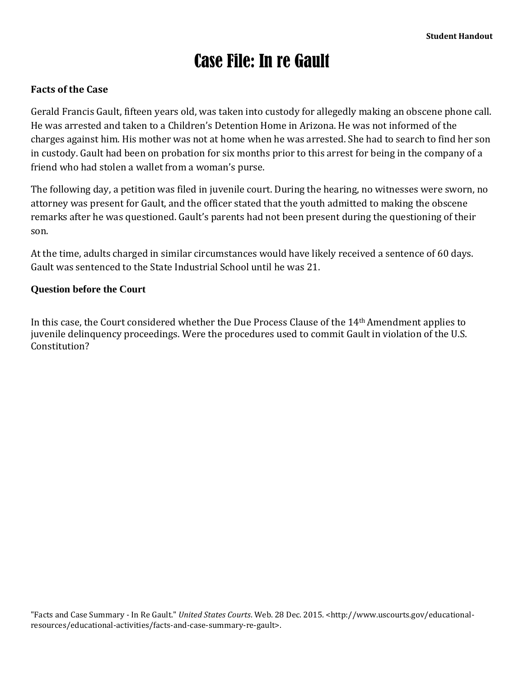# Case File: In re Gault

# **Facts of the Case**

Gerald Francis Gault, fifteen years old, was taken into custody for allegedly making an obscene phone call. He was arrested and taken to a Children's Detention Home in Arizona. He was not informed of the charges against him. His mother was not at home when he was arrested. She had to search to find her son in custody. Gault had been on probation for six months prior to this arrest for being in the company of a friend who had stolen a wallet from a woman's purse.

The following day, a petition was filed in juvenile court. During the hearing, no witnesses were sworn, no attorney was present for Gault, and the officer stated that the youth admitted to making the obscene remarks after he was questioned. Gault's parents had not been present during the questioning of their son.

At the time, adults charged in similar circumstances would have likely received a sentence of 60 days. Gault was sentenced to the State Industrial School until he was 21.

### **Question before the Court**

In this case, the Court considered whether the Due Process Clause of the 14th Amendment applies to juvenile delinquency proceedings. Were the procedures used to commit Gault in violation of the U.S. Constitution?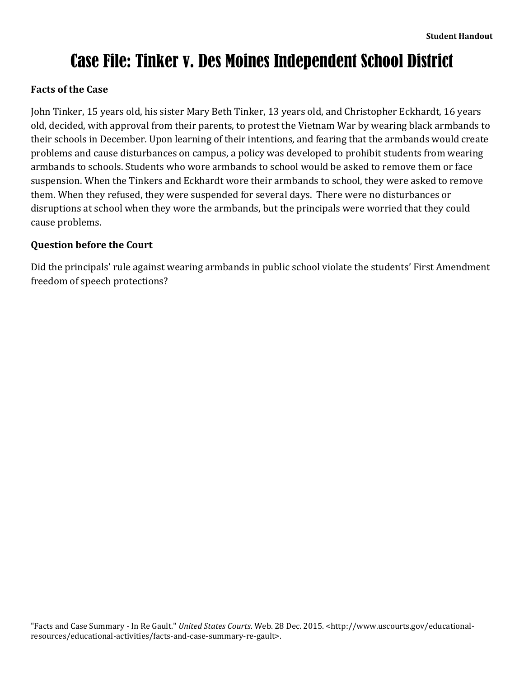# Case File: Tinker v. Des Moines Independent School District

# **Facts of the Case**

John Tinker, 15 years old, his sister Mary Beth Tinker, 13 years old, and Christopher Eckhardt, 16 years old, decided, with approval from their parents, to protest the Vietnam War by wearing black armbands to their schools in December. Upon learning of their intentions, and fearing that the armbands would create problems and cause disturbances on campus, a policy was developed to prohibit students from wearing armbands to schools. Students who wore armbands to school would be asked to remove them or face suspension. When the Tinkers and Eckhardt wore their armbands to school, they were asked to remove them. When they refused, they were suspended for several days. There were no disturbances or disruptions at school when they wore the armbands, but the principals were worried that they could cause problems.

# **Question before the Court**

Did the principals' rule against wearing armbands in public school violate the students' First Amendment freedom of speech protections?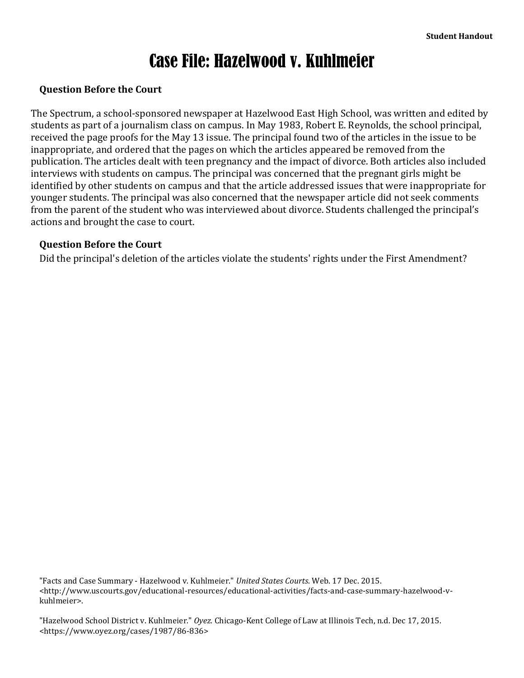# Case File: Hazelwood v. Kuhlmeier

# **Question Before the Court**

The Spectrum, a school-sponsored newspaper at Hazelwood East High School, was written and edited by students as part of a journalism class on campus. In May 1983, Robert E. Reynolds, the school principal, received the page proofs for the May 13 issue. The principal found two of the articles in the issue to be inappropriate, and ordered that the pages on which the articles appeared be removed from the publication. The articles dealt with teen pregnancy and the impact of divorce. Both articles also included interviews with students on campus. The principal was concerned that the pregnant girls might be identified by other students on campus and that the article addressed issues that were inappropriate for younger students. The principal was also concerned that the newspaper article did not seek comments from the parent of the student who was interviewed about divorce. Students challenged the principal's actions and brought the case to court.

# **Question Before the Court**

Did the principal's deletion of the articles violate the students' rights under the First Amendment?

"Facts and Case Summary - Hazelwood v. Kuhlmeier." *United States Courts*. Web. 17 Dec. 2015. <http://www.uscourts.gov/educational-resources/educational-activities/facts-and-case-summary-hazelwood-vkuhlmeier>.

"Hazelwood School District v. Kuhlmeier." *Oyez.* Chicago-Kent College of Law at Illinois Tech, n.d. Dec 17, 2015. <https://www.oyez.org/cases/1987/86-836>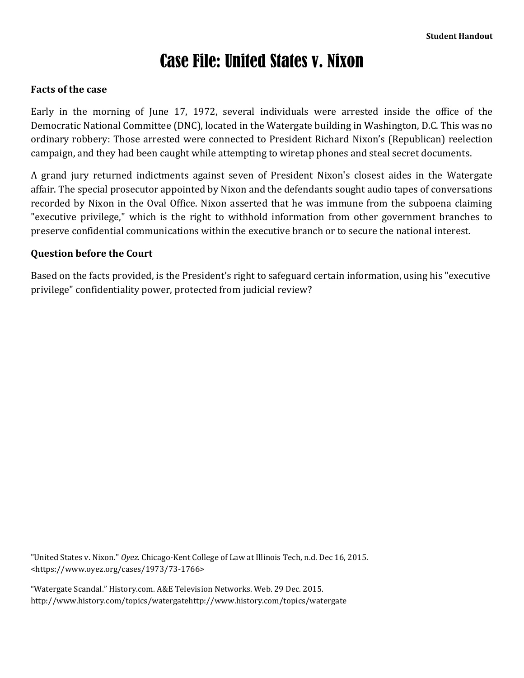# Case File: United States v. Nixon

### **Facts of the case**

Early in the morning of June 17, 1972, several individuals were arrested inside the office of the Democratic National Committee (DNC), located in the Watergate building in Washington, D.C. This was no ordinary robbery: Those arrested were connected to President Richard Nixon's (Republican) reelection campaign, and they had been caught while attempting to wiretap phones and steal secret documents.

A grand jury returned indictments against seven of President Nixon's closest aides in the Watergate affair. The special prosecutor appointed by Nixon and the defendants sought audio tapes of conversations recorded by Nixon in the Oval Office. Nixon asserted that he was immune from the subpoena claiming "executive privilege," which is the right to withhold information from other government branches to preserve confidential communications within the executive branch or to secure the national interest.

### **Question before the Court**

Based on the facts provided, is the President's right to safeguard certain information, using his "executive privilege" confidentiality power, protected from judicial review?

"United States v. Nixon." *Oyez.* Chicago-Kent College of Law at Illinois Tech, n.d. Dec 16, 2015. <https://www.oyez.org/cases/1973/73-1766>

"Watergate Scandal." History.com. A&E Television Networks. Web. 29 Dec. 2015. http://www.history.com/topics/watergatehttp://www.history.com/topics/watergate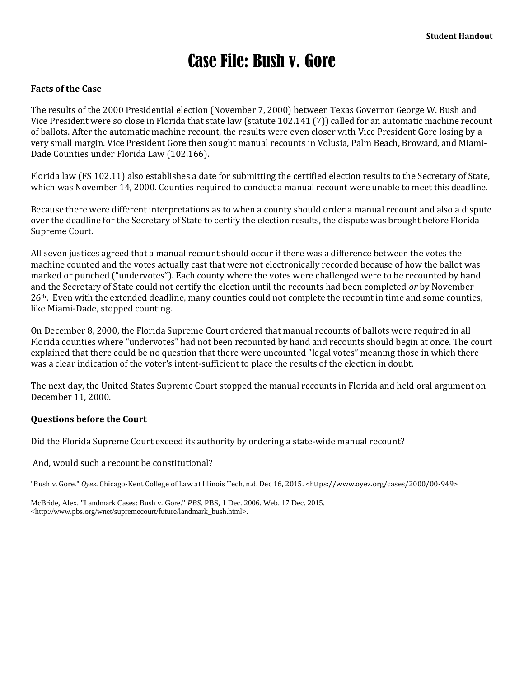# Case File: Bush v. Gore

### **Facts of the Case**

The results of the 2000 Presidential election (November 7, 2000) between Texas Governor George W. Bush and Vice President were so close in Florida that state law (statute 102.141 (7)) called for an automatic machine recount of ballots. After the automatic machine recount, the results were even closer with Vice President Gore losing by a very small margin. Vice President Gore then sought manual recounts in Volusia, Palm Beach, Broward, and Miami-Dade Counties under Florida Law (102.166).

Florida law (FS 102.11) also establishes a date for submitting the certified election results to the Secretary of State, which was November 14, 2000. Counties required to conduct a manual recount were unable to meet this deadline.

Because there were different interpretations as to when a county should order a manual recount and also a dispute over the deadline for the Secretary of State to certify the election results, the dispute was brought before Florida Supreme Court.

All seven justices agreed that a manual recount should occur if there was a difference between the votes the machine counted and the votes actually cast that were not electronically recorded because of how the ballot was marked or punched ("undervotes"). Each county where the votes were challenged were to be recounted by hand and the Secretary of State could not certify the election until the recounts had been completed *or* by November 26th. Even with the extended deadline, many counties could not complete the recount in time and some counties, like Miami-Dade, stopped counting.

On December 8, 2000, the Florida Supreme Court ordered that manual recounts of ballots were required in all Florida counties where "undervotes" had not been recounted by hand and recounts should begin at once. The court explained that there could be no question that there were uncounted "legal votes" meaning those in which there was a clear indication of the voter's intent-sufficient to place the results of the election in doubt.

The next day, the United States Supreme Court stopped the manual recounts in Florida and held oral argument on December 11, 2000.

### **Questions before the Court**

Did the Florida Supreme Court exceed its authority by ordering a state-wide manual recount?

And, would such a recount be constitutional?

"Bush v. Gore." *Oyez.* Chicago-Kent College of Law at Illinois Tech, n.d. Dec 16, 2015. <https://www.oyez.org/cases/2000/00-949>

McBride, Alex. "Landmark Cases: Bush v. Gore." *PBS*. PBS, 1 Dec. 2006. Web. 17 Dec. 2015. <http://www.pbs.org/wnet/supremecourt/future/landmark\_bush.html>.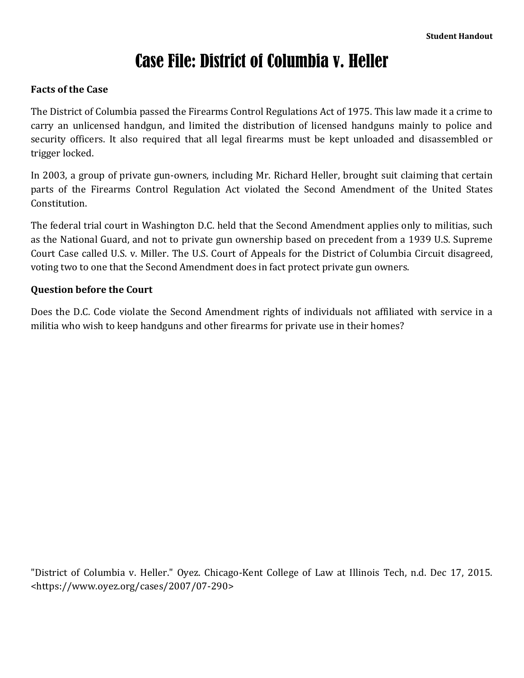# Case File: District of Columbia v. Heller

# **Facts of the Case**

The District of Columbia passed the Firearms Control Regulations Act of 1975. This law made it a crime to carry an unlicensed handgun, and limited the distribution of licensed handguns mainly to police and security officers. It also required that all legal firearms must be kept unloaded and disassembled or trigger locked.

In 2003, a group of private gun-owners, including Mr. Richard Heller, brought suit claiming that certain parts of the Firearms Control Regulation Act violated the Second Amendment of the United States Constitution.

The federal trial court in Washington D.C. held that the Second Amendment applies only to militias, such as the National Guard, and not to private gun ownership based on precedent from a 1939 U.S. Supreme Court Case called U.S. v. Miller. The U.S. Court of Appeals for the District of Columbia Circuit disagreed, voting two to one that the Second Amendment does in fact protect private gun owners.

# **Question before the Court**

Does the D.C. Code violate the Second Amendment rights of individuals not affiliated with service in a militia who wish to keep handguns and other firearms for private use in their homes?

"District of Columbia v. Heller." Oyez. Chicago-Kent College of Law at Illinois Tech, n.d. Dec 17, 2015. <https://www.oyez.org/cases/2007/07-290>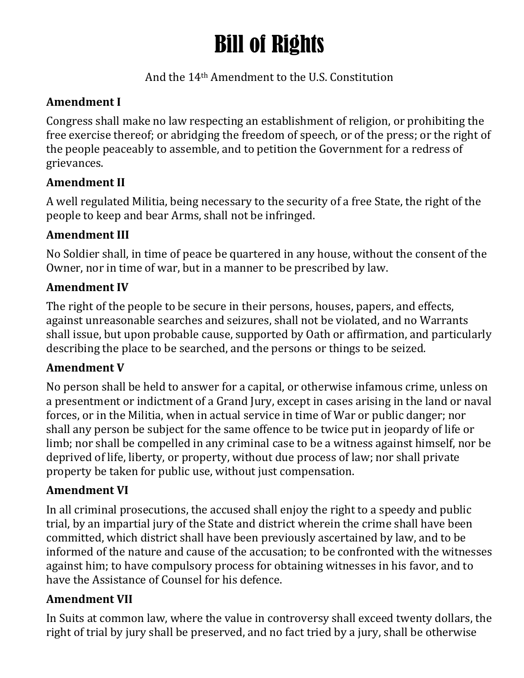# Bill of Rights

# And the 14th Amendment to the U.S. Constitution

# **Amendment I**

Congress shall make no law respecting an establishment of religion, or prohibiting the free exercise thereof; or abridging the freedom of speech, or of the press; or the right of the people peaceably to assemble, and to petition the Government for a redress of grievances.

# **Amendment II**

A well regulated Militia, being necessary to the security of a free State, the right of the people to keep and bear Arms, shall not be infringed.

# **Amendment III**

No Soldier shall, in time of peace be quartered in any house, without the consent of the Owner, nor in time of war, but in a manner to be prescribed by law.

# **Amendment IV**

The right of the people to be secure in their persons, houses, papers, and effects, against unreasonable searches and seizures, shall not be violated, and no Warrants shall issue, but upon probable cause, supported by Oath or affirmation, and particularly describing the place to be searched, and the persons or things to be seized.

# **Amendment V**

No person shall be held to answer for a capital, or otherwise infamous crime, unless on a presentment or indictment of a Grand Jury, except in cases arising in the land or naval forces, or in the Militia, when in actual service in time of War or public danger; nor shall any person be subject for the same offence to be twice put in jeopardy of life or limb; nor shall be compelled in any criminal case to be a witness against himself, nor be deprived of life, liberty, or property, without due process of law; nor shall private property be taken for public use, without just compensation.

# **Amendment VI**

In all criminal prosecutions, the accused shall enjoy the right to a speedy and public trial, by an impartial jury of the State and district wherein the crime shall have been committed, which district shall have been previously ascertained by law, and to be informed of the nature and cause of the accusation; to be confronted with the witnesses against him; to have compulsory process for obtaining witnesses in his favor, and to have the Assistance of Counsel for his defence.

# **Amendment VII**

In Suits at common law, where the value in controversy shall exceed twenty dollars, the right of trial by jury shall be preserved, and no fact tried by a jury, shall be otherwise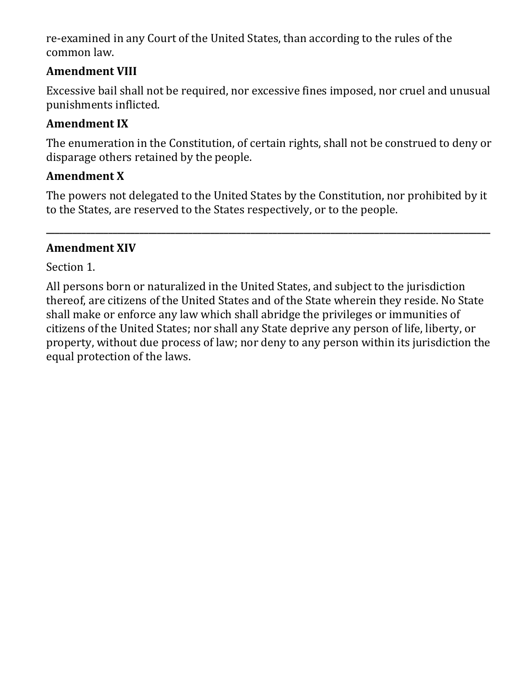re-examined in any Court of the United States, than according to the rules of the common law.

# **Amendment VIII**

Excessive bail shall not be required, nor excessive fines imposed, nor cruel and unusual punishments inflicted.

# **Amendment IX**

The enumeration in the Constitution, of certain rights, shall not be construed to deny or disparage others retained by the people.

# **Amendment X**

The powers not delegated to the United States by the Constitution, nor prohibited by it to the States, are reserved to the States respectively, or to the people.

**\_\_\_\_\_\_\_\_\_\_\_\_\_\_\_\_\_\_\_\_\_\_\_\_\_\_\_\_\_\_\_\_\_\_\_\_\_\_\_\_\_\_\_\_\_\_\_\_\_\_\_\_\_\_\_\_\_\_\_\_\_\_\_\_\_\_\_\_\_\_\_\_\_\_\_\_\_\_\_\_\_\_\_\_\_\_\_\_\_\_\_\_\_\_\_\_\_\_\_\_**

# **Amendment XIV**

Section 1.

All persons born or naturalized in the United States, and subject to the jurisdiction thereof, are citizens of the United States and of the State wherein they reside. No State shall make or enforce any law which shall abridge the privileges or immunities of citizens of the United States; nor shall any State deprive any person of life, liberty, or property, without due process of law; nor deny to any person within its jurisdiction the equal protection of the laws.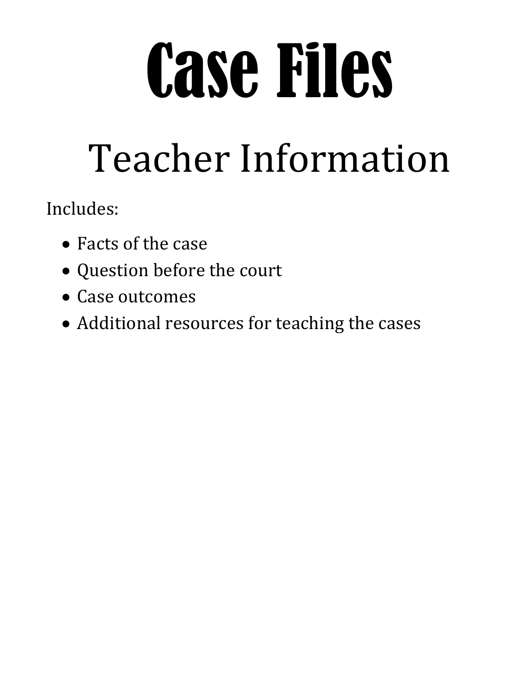# Case Files

# Teacher Information

Includes:

- Facts of the case
- Question before the court
- Case outcomes
- Additional resources for teaching the cases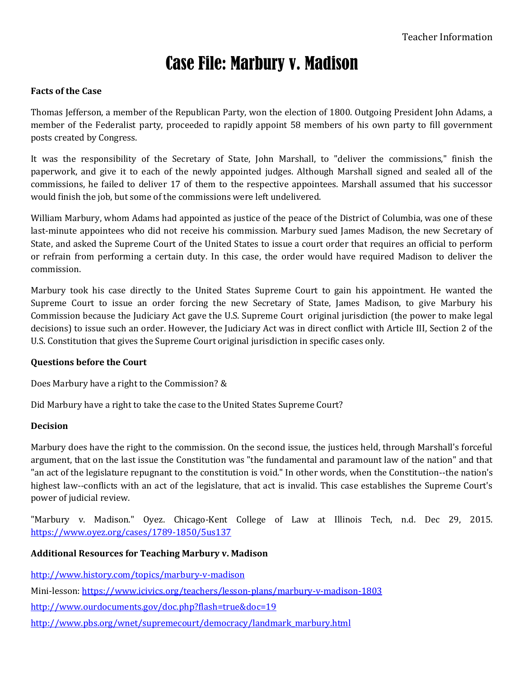# Case File: Marbury v. Madison

### **Facts of the Case**

Thomas Jefferson, a member of the Republican Party, won the election of 1800. Outgoing President John Adams, a member of the Federalist party, proceeded to rapidly appoint 58 members of his own party to fill government posts created by Congress.

It was the responsibility of the Secretary of State, John Marshall, to "deliver the commissions," finish the paperwork, and give it to each of the newly appointed judges. Although Marshall signed and sealed all of the commissions, he failed to deliver 17 of them to the respective appointees. Marshall assumed that his successor would finish the job, but some of the commissions were left undelivered.

William Marbury, whom Adams had appointed as justice of the peace of the District of Columbia, was one of these last-minute appointees who did not receive his commission. Marbury sued James Madison, the new Secretary of State, and asked the Supreme Court of the United States to issue a court order that requires an official to perform or refrain from performing a certain duty. In this case, the order would have required Madison to deliver the commission.

Marbury took his case directly to the United States Supreme Court to gain his appointment. He wanted the Supreme Court to issue an order forcing the new Secretary of State, James Madison, to give Marbury his Commission because the Judiciary Act gave the U.S. Supreme Court original jurisdiction (the power to make legal decisions) to issue such an order. However, the Judiciary Act was in direct conflict with Article III, Section 2 of the U.S. Constitution that gives the Supreme Court original jurisdiction in specific cases only.

### **Questions before the Court**

Does Marbury have a right to the Commission? &

Did Marbury have a right to take the case to the United States Supreme Court?

### **Decision**

Marbury does have the right to the commission. On the second issue, the justices held, through Marshall's forceful argument, that on the last issue the Constitution was "the fundamental and paramount law of the nation" and that "an act of the legislature repugnant to the constitution is void." In other words, when the Constitution--the nation's highest law--conflicts with an act of the legislature, that act is invalid. This case establishes the Supreme Court's power of judicial review.

"Marbury v. Madison." Oyez. Chicago-Kent College of Law at Illinois Tech, n.d. Dec 29, 2015. <https://www.oyez.org/cases/1789-1850/5us137>

### **Additional Resources for Teaching Marbury v. Madison**

<http://www.history.com/topics/marbury-v-madison>

Mini-lesson:<https://www.icivics.org/teachers/lesson-plans/marbury-v-madison-1803>

<http://www.ourdocuments.gov/doc.php?flash=true&doc=19>

[http://www.pbs.org/wnet/supremecourt/democracy/landmark\\_marbury.html](http://www.pbs.org/wnet/supremecourt/democracy/landmark_marbury.html)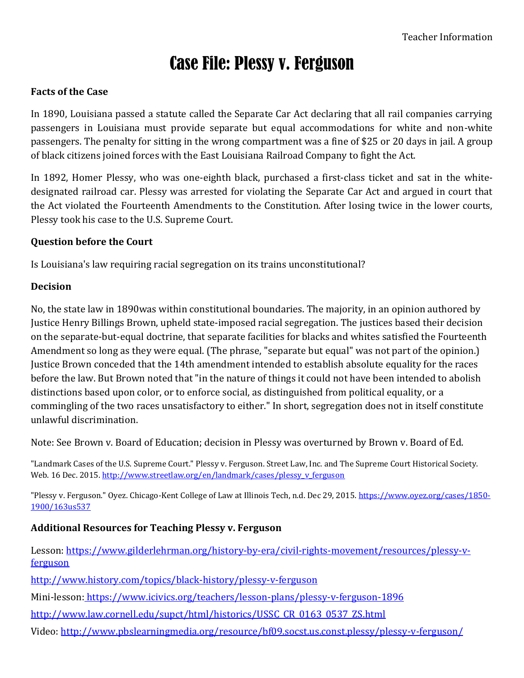# Case File: Plessy v. Ferguson

# **Facts of the Case**

In 1890, Louisiana passed a statute called the Separate Car Act declaring that all rail companies carrying passengers in Louisiana must provide separate but equal accommodations for white and non-white passengers. The penalty for sitting in the wrong compartment was a fine of \$25 or 20 days in jail. A group of black citizens joined forces with the East Louisiana Railroad Company to fight the Act.

In 1892, Homer Plessy, who was one-eighth black, purchased a first-class ticket and sat in the whitedesignated railroad car. Plessy was arrested for violating the Separate Car Act and argued in court that the Act violated the Fourteenth Amendments to the Constitution. After losing twice in the lower courts, Plessy took his case to the U.S. Supreme Court.

### **Question before the Court**

Is Louisiana's law requiring racial segregation on its trains unconstitutional?

### **Decision**

No, the state law in 1890was within constitutional boundaries. The majority, in an opinion authored by Justice Henry Billings Brown, upheld state-imposed racial segregation. The justices based their decision on the separate-but-equal doctrine, that separate facilities for blacks and whites satisfied the Fourteenth Amendment so long as they were equal. (The phrase, "separate but equal" was not part of the opinion.) Justice Brown conceded that the 14th amendment intended to establish absolute equality for the races before the law. But Brown noted that "in the nature of things it could not have been intended to abolish distinctions based upon color, or to enforce social, as distinguished from political equality, or a commingling of the two races unsatisfactory to either." In short, segregation does not in itself constitute unlawful discrimination.

Note: See Brown v. Board of Education; decision in Plessy was overturned by Brown v. Board of Ed.

"Landmark Cases of the U.S. Supreme Court." Plessy v. Ferguson. Street Law, Inc. and The Supreme Court Historical Society. Web. 16 Dec. 2015[. http://www.streetlaw.org/en/landmark/cases/plessy\\_v\\_ferguson](http://www.streetlaw.org/en/landmark/cases/plessy_v_ferguson)

"Plessy v. Ferguson." Oyez. Chicago-Kent College of Law at Illinois Tech, n.d. Dec 29, 2015. [https://www.oyez.org/cases/1850-](https://www.oyez.org/cases/1850-1900/163us537) [1900/163us537](https://www.oyez.org/cases/1850-1900/163us537)

# **Additional Resources for Teaching Plessy v. Ferguson**

Lesson: [https://www.gilderlehrman.org/history-by-era/civil-rights-movement/resources/plessy-v](https://www.gilderlehrman.org/history-by-era/civil-rights-movement/resources/plessy-v-ferguson)[ferguson](https://www.gilderlehrman.org/history-by-era/civil-rights-movement/resources/plessy-v-ferguson)

<http://www.history.com/topics/black-history/plessy-v-ferguson>

Mini-lesson: [https://www.icivics.org/teachers/lesson-plans/plessy-v-ferguson-1896](mini-lesson:%20https://www.icivics.org/teachers/lesson-plans/plessy-v-ferguson-1896)

[http://www.law.cornell.edu/supct/html/historics/USSC\\_CR\\_0163\\_0537\\_ZS.html](http://www.law.cornell.edu/supct/html/historics/USSC_CR_0163_0537_ZS.html)

Video:<http://www.pbslearningmedia.org/resource/bf09.socst.us.const.plessy/plessy-v-ferguson/>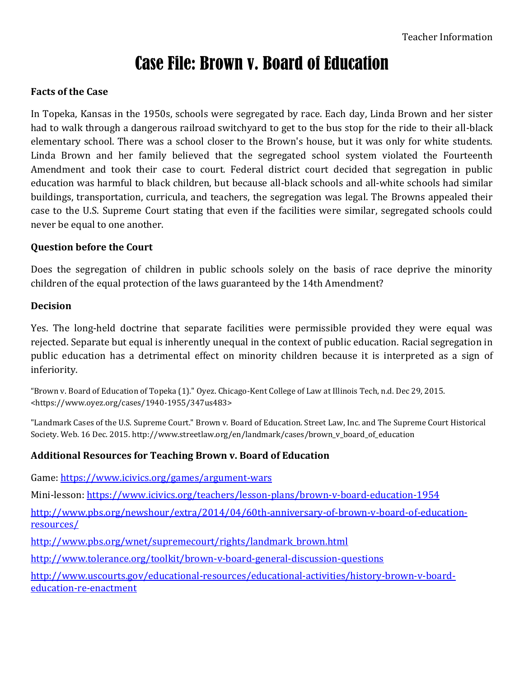# Case File: Brown v. Board of Education

# **Facts of the Case**

In Topeka, Kansas in the 1950s, schools were segregated by race. Each day, Linda Brown and her sister had to walk through a dangerous railroad switchyard to get to the bus stop for the ride to their all-black elementary school. There was a school closer to the Brown's house, but it was only for white students. Linda Brown and her family believed that the segregated school system violated the Fourteenth Amendment and took their case to court. Federal district court decided that segregation in public education was harmful to black children, but because all-black schools and all-white schools had similar buildings, transportation, curricula, and teachers, the segregation was legal. The Browns appealed their case to the U.S. Supreme Court stating that even if the facilities were similar, segregated schools could never be equal to one another.

# **Question before the Court**

Does the segregation of children in public schools solely on the basis of race deprive the minority children of the equal protection of the laws guaranteed by the 14th Amendment?

# **Decision**

Yes. The long-held doctrine that separate facilities were permissible provided they were equal was rejected. Separate but equal is inherently unequal in the context of public education. Racial segregation in public education has a detrimental effect on minority children because it is interpreted as a sign of inferiority.

"Brown v. Board of Education of Topeka (1)." Oyez. Chicago-Kent College of Law at Illinois Tech, n.d. Dec 29, 2015. <https://www.oyez.org/cases/1940-1955/347us483>

"Landmark Cases of the U.S. Supreme Court." Brown v. Board of Education. Street Law, Inc. and The Supreme Court Historical Society. Web. 16 Dec. 2015. http://www.streetlaw.org/en/landmark/cases/brown\_v\_board\_of\_education

# **Additional Resources for Teaching Brown v. Board of Education**

Game:<https://www.icivics.org/games/argument-wars> Mini-lesson:<https://www.icivics.org/teachers/lesson-plans/brown-v-board-education-1954> [http://www.pbs.org/newshour/extra/2014/04/60th-anniversary-of-brown-v-board-of-education](http://www.pbs.org/newshour/extra/2014/04/60th-anniversary-of-brown-v-board-of-education-resources/)[resources/](http://www.pbs.org/newshour/extra/2014/04/60th-anniversary-of-brown-v-board-of-education-resources/) [http://www.pbs.org/wnet/supremecourt/rights/landmark\\_brown.html](http://www.pbs.org/wnet/supremecourt/rights/landmark_brown.html)

<http://www.tolerance.org/toolkit/brown-v-board-general-discussion-questions>

[http://www.uscourts.gov/educational-resources/educational-activities/history-brown-v-board](http://www.uscourts.gov/educational-resources/educational-activities/history-brown-v-board-education-re-enactment)[education-re-enactment](http://www.uscourts.gov/educational-resources/educational-activities/history-brown-v-board-education-re-enactment)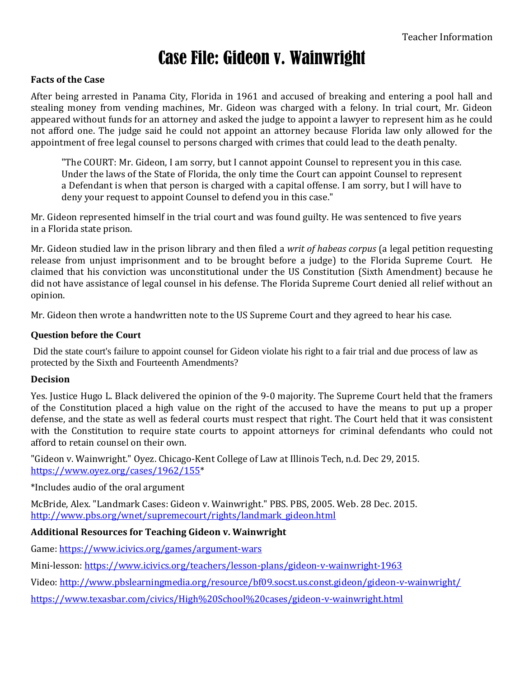# Case File: Gideon v. Wainwright

### **Facts of the Case**

After being arrested in Panama City, Florida in 1961 and accused of breaking and entering a pool hall and stealing money from vending machines, Mr. Gideon was charged with a felony. In trial court, Mr. Gideon appeared without funds for an attorney and asked the judge to appoint a lawyer to represent him as he could not afford one. The judge said he could not appoint an attorney because Florida law only allowed for the appointment of free legal counsel to persons charged with crimes that could lead to the death penalty.

"The COURT: Mr. Gideon, I am sorry, but I cannot appoint Counsel to represent you in this case. Under the laws of the State of Florida, the only time the Court can appoint Counsel to represent a Defendant is when that person is charged with a capital offense. I am sorry, but I will have to deny your request to appoint Counsel to defend you in this case."

Mr. Gideon represented himself in the trial court and was found guilty. He was sentenced to five years in a Florida state prison.

Mr. Gideon studied law in the prison library and then filed a *writ of habeas corpus* (a legal petition requesting release from unjust imprisonment and to be brought before a judge) to the Florida Supreme Court. He claimed that his conviction was unconstitutional under the US Constitution (Sixth Amendment) because he did not have assistance of legal counsel in his defense. The Florida Supreme Court denied all relief without an opinion.

Mr. Gideon then wrote a handwritten note to the US Supreme Court and they agreed to hear his case.

### **Question before the Court**

Did the state court's failure to appoint counsel for Gideon violate his right to a fair trial and due process of law as protected by the Sixth and Fourteenth Amendments?

### **Decision**

Yes. Justice Hugo L. Black delivered the opinion of the 9-0 majority. The Supreme Court held that the framers of the Constitution placed a high value on the right of the accused to have the means to put up a proper defense, and the state as well as federal courts must respect that right. The Court held that it was consistent with the Constitution to require state courts to appoint attorneys for criminal defendants who could not afford to retain counsel on their own.

"Gideon v. Wainwright." Oyez. Chicago-Kent College of Law at Illinois Tech, n.d. Dec 29, 2015. [https://www.oyez.org/cases/1962/155\\*](https://www.oyez.org/cases/1962/155)

\*Includes audio of the oral argument

McBride, Alex. "Landmark Cases: Gideon v. Wainwright." PBS. PBS, 2005. Web. 28 Dec. 2015. [http://www.pbs.org/wnet/supremecourt/rights/landmark\\_gideon.html](http://www.pbs.org/wnet/supremecourt/rights/landmark_gideon.html) 

### **Additional Resources for Teaching Gideon v. Wainwright**

Game:<https://www.icivics.org/games/argument-wars>

Mini-lesson[: https://www.icivics.org/teachers/lesson-plans/gideon-v-wainwright-1963](https://www.icivics.org/teachers/lesson-plans/gideon-v-wainwright-1963)

Video:<http://www.pbslearningmedia.org/resource/bf09.socst.us.const.gideon/gideon-v-wainwright/>

<https://www.texasbar.com/civics/High%20School%20cases/gideon-v-wainwright.html>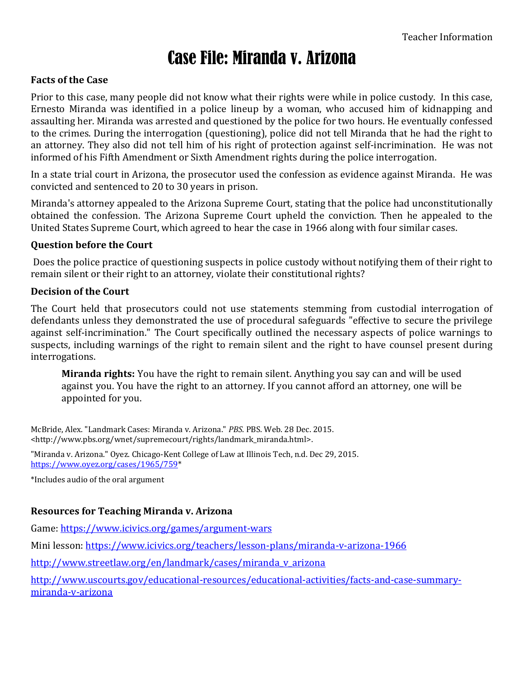# Case File: Miranda v. Arizona

# **Facts of the Case**

Prior to this case, many people did not know what their rights were while in police custody. In this case, Ernesto Miranda was identified in a police lineup by a woman, who accused him of kidnapping and assaulting her. Miranda was arrested and questioned by the police for two hours. He eventually confessed to the crimes. During the interrogation (questioning), police did not tell Miranda that he had the right to an attorney. They also did not tell him of his right of protection against self-incrimination. He was not informed of his Fifth Amendment or Sixth Amendment rights during the police interrogation.

In a state trial court in Arizona, the prosecutor used the confession as evidence against Miranda. He was convicted and sentenced to 20 to 30 years in prison.

Miranda's attorney appealed to the Arizona Supreme Court, stating that the police had unconstitutionally obtained the confession. The Arizona Supreme Court upheld the conviction. Then he appealed to the United States Supreme Court, which agreed to hear the case in 1966 along with four similar cases.

# **Question before the Court**

Does the police practice of questioning suspects in police custody without notifying them of their right to remain silent or their right to an attorney, violate their constitutional rights?

### **Decision of the Court**

The Court held that prosecutors could not use statements stemming from custodial interrogation of defendants unless they demonstrated the use of procedural safeguards "effective to secure the privilege against self-incrimination." The Court specifically outlined the necessary aspects of police warnings to suspects, including warnings of the right to remain silent and the right to have counsel present during interrogations.

**Miranda rights:** You have the right to remain silent. Anything you say can and will be used against you. You have the right to an attorney. If you cannot afford an attorney, one will be appointed for you.

McBride, Alex. "Landmark Cases: Miranda v. Arizona." *PBS*. PBS. Web. 28 Dec. 2015. <http://www.pbs.org/wnet/supremecourt/rights/landmark\_miranda.html>.

"Miranda v. Arizona." Oyez. Chicago-Kent College of Law at Illinois Tech, n.d. Dec 29, 2015. [https://www.oyez.org/cases/1965/759\\*](https://www.oyez.org/cases/1965/759)

\*Includes audio of the oral argument

# **Resources for Teaching Miranda v. Arizona**

Game:<https://www.icivics.org/games/argument-wars>

Mini lesson:<https://www.icivics.org/teachers/lesson-plans/miranda-v-arizona-1966>

[http://www.streetlaw.org/en/landmark/cases/miranda\\_v\\_arizona](http://www.streetlaw.org/en/landmark/cases/miranda_v_arizona)

[http://www.uscourts.gov/educational-resources/educational-activities/facts-and-case-summary](http://www.uscourts.gov/educational-resources/educational-activities/facts-and-case-summary-miranda-v-arizona)[miranda-v-arizona](http://www.uscourts.gov/educational-resources/educational-activities/facts-and-case-summary-miranda-v-arizona)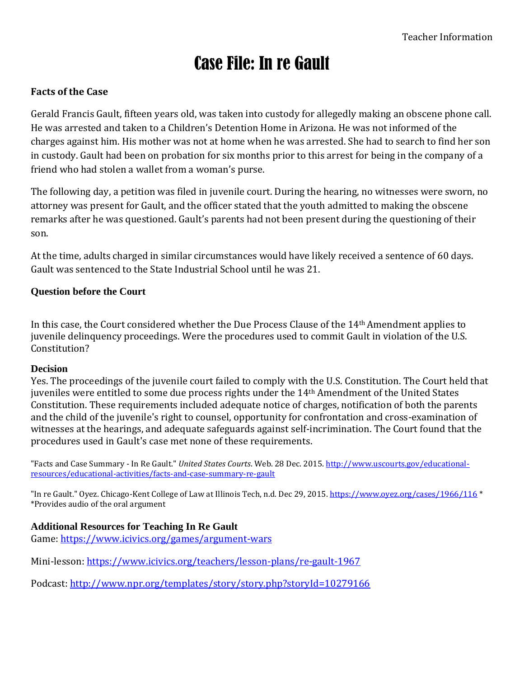# Case File: In re Gault

# **Facts of the Case**

Gerald Francis Gault, fifteen years old, was taken into custody for allegedly making an obscene phone call. He was arrested and taken to a Children's Detention Home in Arizona. He was not informed of the charges against him. His mother was not at home when he was arrested. She had to search to find her son in custody. Gault had been on probation for six months prior to this arrest for being in the company of a friend who had stolen a wallet from a woman's purse.

The following day, a petition was filed in juvenile court. During the hearing, no witnesses were sworn, no attorney was present for Gault, and the officer stated that the youth admitted to making the obscene remarks after he was questioned. Gault's parents had not been present during the questioning of their son.

At the time, adults charged in similar circumstances would have likely received a sentence of 60 days. Gault was sentenced to the State Industrial School until he was 21.

# **Question before the Court**

In this case, the Court considered whether the Due Process Clause of the 14th Amendment applies to juvenile delinquency proceedings. Were the procedures used to commit Gault in violation of the U.S. Constitution?

# **Decision**

Yes. The proceedings of the juvenile court failed to comply with the U.S. Constitution. The Court held that juveniles were entitled to some due process rights under the 14th Amendment of the United States Constitution. These requirements included adequate notice of charges, notification of both the parents and the child of the juvenile's right to counsel, opportunity for confrontation and cross-examination of witnesses at the hearings, and adequate safeguards against self-incrimination. The Court found that the procedures used in Gault's case met none of these requirements.

"Facts and Case Summary - In Re Gault." *United States Courts*. Web. 28 Dec. 2015. [http://www.uscourts.gov/educational](http://www.uscourts.gov/educational-resources/educational-activities/facts-and-case-summary-re-gault)[resources/educational-activities/facts-and-case-summary-re-gault](http://www.uscourts.gov/educational-resources/educational-activities/facts-and-case-summary-re-gault)

"In re Gault." Oyez. Chicago-Kent College of Law at Illinois Tech, n.d. Dec 29, 2015[. https://www.oyez.org/cases/1966/116](https://www.oyez.org/cases/1966/116) \* \*Provides audio of the oral argument

# **Additional Resources for Teaching In Re Gault**

Game:<https://www.icivics.org/games/argument-wars>

Mini-lesson:<https://www.icivics.org/teachers/lesson-plans/re-gault-1967>

Podcast:<http://www.npr.org/templates/story/story.php?storyId=10279166>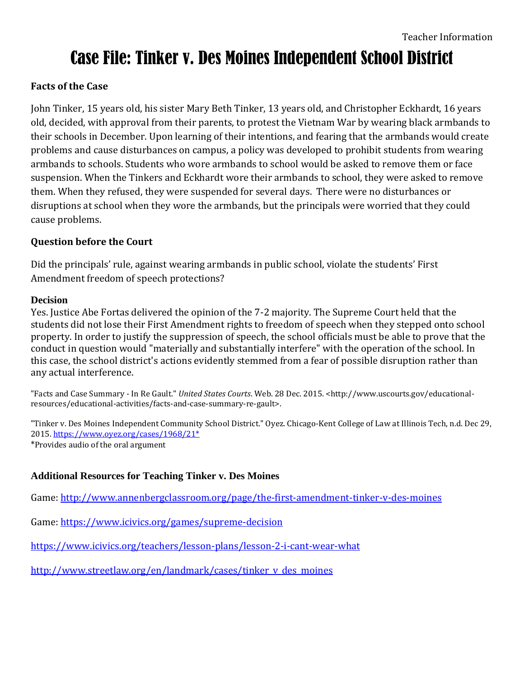# Case File: Tinker v. Des Moines Independent School District

# **Facts of the Case**

John Tinker, 15 years old, his sister Mary Beth Tinker, 13 years old, and Christopher Eckhardt, 16 years old, decided, with approval from their parents, to protest the Vietnam War by wearing black armbands to their schools in December. Upon learning of their intentions, and fearing that the armbands would create problems and cause disturbances on campus, a policy was developed to prohibit students from wearing armbands to schools. Students who wore armbands to school would be asked to remove them or face suspension. When the Tinkers and Eckhardt wore their armbands to school, they were asked to remove them. When they refused, they were suspended for several days. There were no disturbances or disruptions at school when they wore the armbands, but the principals were worried that they could cause problems.

# **Question before the Court**

Did the principals' rule, against wearing armbands in public school, violate the students' First Amendment freedom of speech protections?

# **Decision**

Yes. Justice Abe Fortas delivered the opinion of the 7-2 majority. The Supreme Court held that the students did not lose their First Amendment rights to freedom of speech when they stepped onto school property. In order to justify the suppression of speech, the school officials must be able to prove that the conduct in question would "materially and substantially interfere" with the operation of the school. In this case, the school district's actions evidently stemmed from a fear of possible disruption rather than any actual interference.

"Facts and Case Summary - In Re Gault." *United States Courts*. Web. 28 Dec. 2015. <http://www.uscourts.gov/educationalresources/educational-activities/facts-and-case-summary-re-gault>.

"Tinker v. Des Moines Independent Community School District." Oyez. Chicago-Kent College of Law at Illinois Tech, n.d. Dec 29, 2015[. https://www.oyez.org/cases/1968/21\\*](https://www.oyez.org/cases/1968/21*) \*Provides audio of the oral argument

# **Additional Resources for Teaching Tinker v. Des Moines**

Game:<http://www.annenbergclassroom.org/page/the-first-amendment-tinker-v-des-moines>

Game:<https://www.icivics.org/games/supreme-decision>

<https://www.icivics.org/teachers/lesson-plans/lesson-2-i-cant-wear-what>

[http://www.streetlaw.org/en/landmark/cases/tinker\\_v\\_des\\_moines](http://www.streetlaw.org/en/landmark/cases/tinker_v_des_moines)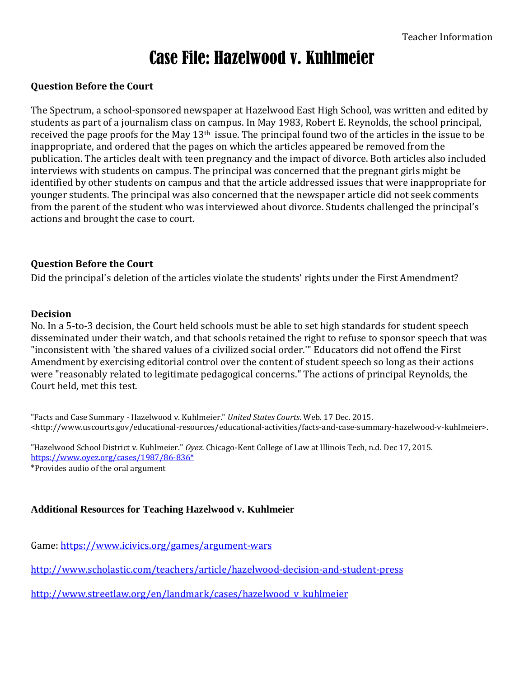# Case File: Hazelwood v. Kuhlmeier

# **Question Before the Court**

The Spectrum, a school-sponsored newspaper at Hazelwood East High School, was written and edited by students as part of a journalism class on campus. In May 1983, Robert E. Reynolds, the school principal, received the page proofs for the May 13th issue. The principal found two of the articles in the issue to be inappropriate, and ordered that the pages on which the articles appeared be removed from the publication. The articles dealt with teen pregnancy and the impact of divorce. Both articles also included interviews with students on campus. The principal was concerned that the pregnant girls might be identified by other students on campus and that the article addressed issues that were inappropriate for younger students. The principal was also concerned that the newspaper article did not seek comments from the parent of the student who was interviewed about divorce. Students challenged the principal's actions and brought the case to court.

# **Question Before the Court**

Did the principal's deletion of the articles violate the students' rights under the First Amendment?

### **Decision**

No. In a 5-to-3 decision, the Court held schools must be able to set high standards for student speech disseminated under their watch, and that schools retained the right to refuse to sponsor speech that was "inconsistent with 'the shared values of a civilized social order.'" Educators did not offend the First Amendment by exercising editorial control over the content of student speech so long as their actions were "reasonably related to legitimate pedagogical concerns." The actions of principal Reynolds, the Court held, met this test.

"Facts and Case Summary - Hazelwood v. Kuhlmeier." *United States Courts*. Web. 17 Dec. 2015. <http://www.uscourts.gov/educational-resources/educational-activities/facts-and-case-summary-hazelwood-v-kuhlmeier>.

"Hazelwood School District v. Kuhlmeier." *Oyez.* Chicago-Kent College of Law at Illinois Tech, n.d. Dec 17, 2015. [https://www.oyez.org/cases/1987/86-836\\*](https://www.oyez.org/cases/1987/86-836*) \*Provides audio of the oral argument

# **Additional Resources for Teaching Hazelwood v. Kuhlmeier**

Game:<https://www.icivics.org/games/argument-wars>

<http://www.scholastic.com/teachers/article/hazelwood-decision-and-student-press>

[http://www.streetlaw.org/en/landmark/cases/hazelwood\\_v\\_kuhlmeier](http://www.streetlaw.org/en/landmark/cases/hazelwood_v_kuhlmeier)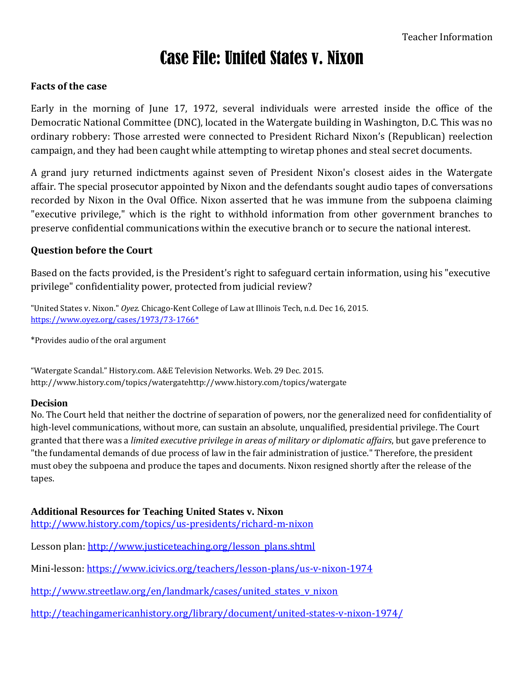# Case File: United States v. Nixon

# **Facts of the case**

Early in the morning of June 17, 1972, several individuals were arrested inside the office of the Democratic National Committee (DNC), located in the Watergate building in Washington, D.C. This was no ordinary robbery: Those arrested were connected to President Richard Nixon's (Republican) reelection campaign, and they had been caught while attempting to wiretap phones and steal secret documents.

A grand jury returned indictments against seven of President Nixon's closest aides in the Watergate affair. The special prosecutor appointed by Nixon and the defendants sought audio tapes of conversations recorded by Nixon in the Oval Office. Nixon asserted that he was immune from the subpoena claiming "executive privilege," which is the right to withhold information from other government branches to preserve confidential communications within the executive branch or to secure the national interest.

# **Question before the Court**

Based on the facts provided, is the President's right to safeguard certain information, using his "executive privilege" confidentiality power, protected from judicial review?

"United States v. Nixon." *Oyez.* Chicago-Kent College of Law at Illinois Tech, n.d. Dec 16, 2015. [https://www.oyez.org/cases/1973/73-1766\\*](https://www.oyez.org/cases/1973/73-1766*)

\*Provides audio of the oral argument

"Watergate Scandal." History.com. A&E Television Networks. Web. 29 Dec. 2015. http://www.history.com/topics/watergatehttp://www.history.com/topics/watergate

### **Decision**

No. The Court held that neither the doctrine of separation of powers, nor the generalized need for confidentiality of high-level communications, without more, can sustain an absolute, unqualified, presidential privilege. The Court granted that there was a *limited executive privilege in areas of military or diplomatic affairs*, but gave preference to "the fundamental demands of due process of law in the fair administration of justice." Therefore, the president must obey the subpoena and produce the tapes and documents. Nixon resigned shortly after the release of the tapes.

### **Additional Resources for Teaching United States v. Nixon**

<http://www.history.com/topics/us-presidents/richard-m-nixon>

Lesson plan: [http://www.justiceteaching.org/lesson\\_plans.shtml](http://www.justiceteaching.org/lesson_plans.shtml)

Mini-lesson:<https://www.icivics.org/teachers/lesson-plans/us-v-nixon-1974>

[http://www.streetlaw.org/en/landmark/cases/united\\_states\\_v\\_nixon](http://www.streetlaw.org/en/landmark/cases/united_states_v_nixon)

<http://teachingamericanhistory.org/library/document/united-states-v-nixon-1974/>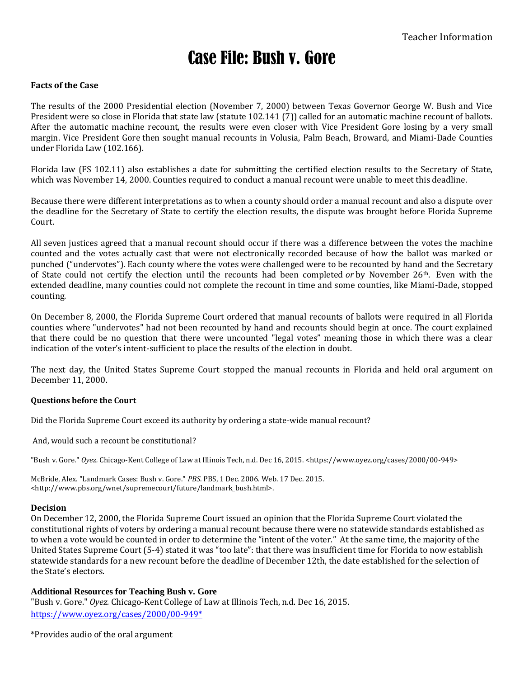# Case File: Bush v. Gore

### **Facts of the Case**

The results of the 2000 Presidential election (November 7, 2000) between Texas Governor George W. Bush and Vice President were so close in Florida that state law (statute 102.141 (7)) called for an automatic machine recount of ballots. After the automatic machine recount, the results were even closer with Vice President Gore losing by a very small margin. Vice President Gore then sought manual recounts in Volusia, Palm Beach, Broward, and Miami-Dade Counties under Florida Law (102.166).

Florida law (FS 102.11) also establishes a date for submitting the certified election results to the Secretary of State, which was November 14, 2000. Counties required to conduct a manual recount were unable to meet this deadline.

Because there were different interpretations as to when a county should order a manual recount and also a dispute over the deadline for the Secretary of State to certify the election results, the dispute was brought before Florida Supreme Court.

All seven justices agreed that a manual recount should occur if there was a difference between the votes the machine counted and the votes actually cast that were not electronically recorded because of how the ballot was marked or punched ("undervotes"). Each county where the votes were challenged were to be recounted by hand and the Secretary of State could not certify the election until the recounts had been completed *or* by November 26th. Even with the extended deadline, many counties could not complete the recount in time and some counties, like Miami-Dade, stopped counting.

On December 8, 2000, the Florida Supreme Court ordered that manual recounts of ballots were required in all Florida counties where "undervotes" had not been recounted by hand and recounts should begin at once. The court explained that there could be no question that there were uncounted "legal votes" meaning those in which there was a clear indication of the voter's intent-sufficient to place the results of the election in doubt.

The next day, the United States Supreme Court stopped the manual recounts in Florida and held oral argument on December 11, 2000.

### **Questions before the Court**

Did the Florida Supreme Court exceed its authority by ordering a state-wide manual recount?

And, would such a recount be constitutional?

"Bush v. Gore." *Oyez.* Chicago-Kent College of Law at Illinois Tech, n.d. Dec 16, 2015. <https://www.oyez.org/cases/2000/00-949>

McBride, Alex. "Landmark Cases: Bush v. Gore." *PBS*. PBS, 1 Dec. 2006. Web. 17 Dec. 2015. <http://www.pbs.org/wnet/supremecourt/future/landmark\_bush.html>.

### **Decision**

On December 12, 2000, the Florida Supreme Court issued an opinion that the Florida Supreme Court violated the constitutional rights of voters by ordering a manual recount because there were no statewide standards established as to when a vote would be counted in order to determine the "intent of the voter." At the same time, the majority of the United States Supreme Court (5-4) stated it was "too late": that there was insufficient time for Florida to now establish statewide standards for a new recount before the deadline of December 12th, the date established for the selection of the State's electors.

### **Additional Resources for Teaching Bush v. Gore**

"Bush v. Gore." *Oyez.* Chicago-Kent College of Law at Illinois Tech, n.d. Dec 16, 2015. [https://www.oyez.org/cases/2000/00-949\\*](https://www.oyez.org/cases/2000/00-949*)

\*Provides audio of the oral argument